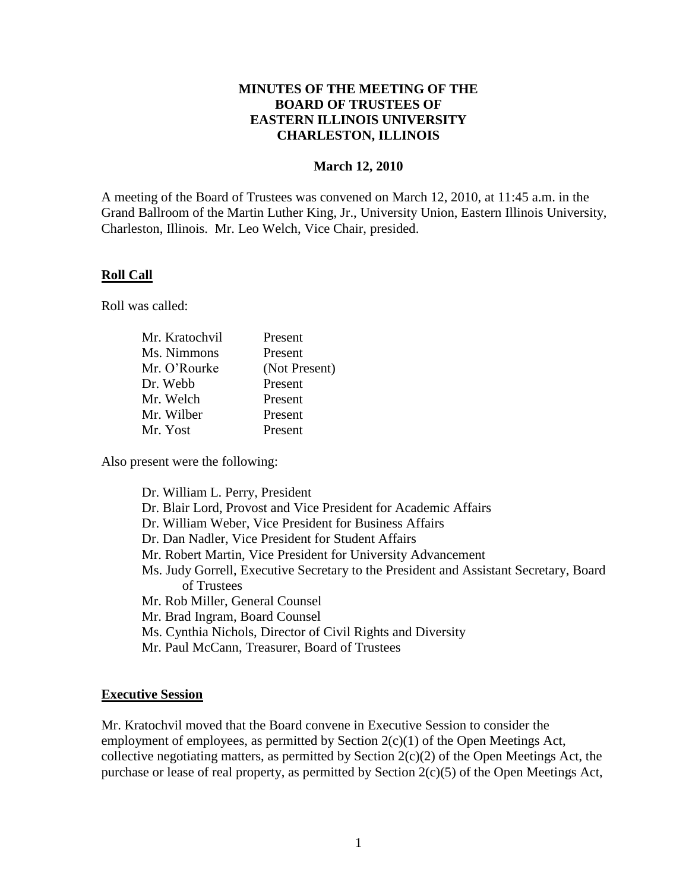## **MINUTES OF THE MEETING OF THE BOARD OF TRUSTEES OF EASTERN ILLINOIS UNIVERSITY CHARLESTON, ILLINOIS**

## **March 12, 2010**

A meeting of the Board of Trustees was convened on March 12, 2010, at 11:45 a.m. in the Grand Ballroom of the Martin Luther King, Jr., University Union, Eastern Illinois University, Charleston, Illinois. Mr. Leo Welch, Vice Chair, presided.

#### **Roll Call**

Roll was called:

| Mr. Kratochvil | Present       |
|----------------|---------------|
| Ms. Nimmons    | Present       |
| Mr. O'Rourke   | (Not Present) |
| Dr. Webb       | Present       |
| Mr. Welch      | Present       |
| Mr. Wilber     | Present       |
| Mr. Yost       | Present       |
|                |               |

Also present were the following:

#### **Executive Session**

Mr. Kratochvil moved that the Board convene in Executive Session to consider the employment of employees, as permitted by Section 2(c)(1) of the Open Meetings Act, collective negotiating matters, as permitted by Section  $2(c)(2)$  of the Open Meetings Act, the purchase or lease of real property, as permitted by Section 2(c)(5) of the Open Meetings Act,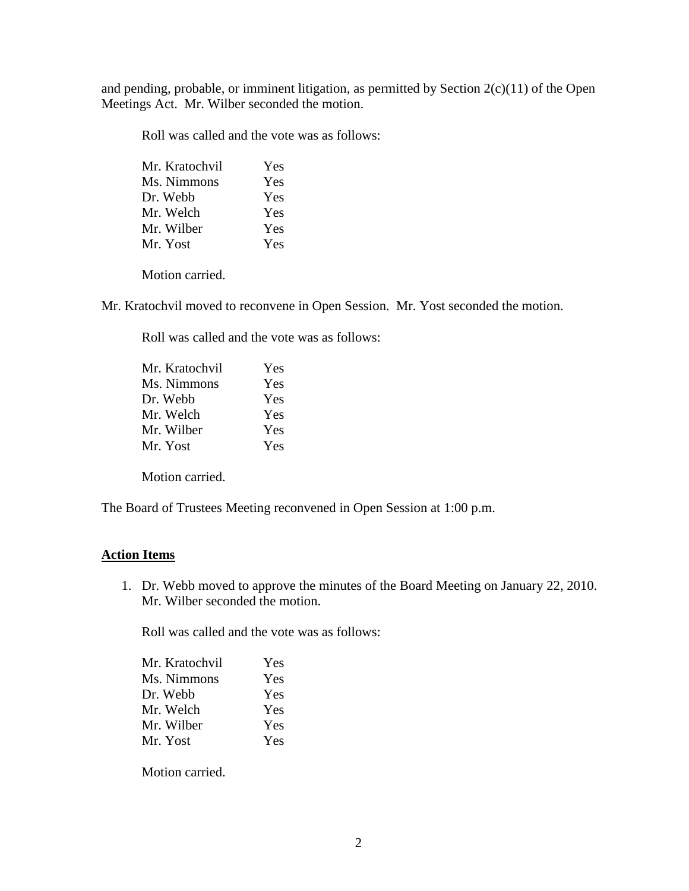and pending, probable, or imminent litigation, as permitted by Section  $2(c)(11)$  of the Open Meetings Act. Mr. Wilber seconded the motion.

Roll was called and the vote was as follows:

Motion carried.

Mr. Kratochvil moved to reconvene in Open Session. Mr. Yost seconded the motion.

Roll was called and the vote was as follows:

| Mr. Kratochvil | <b>Yes</b> |
|----------------|------------|
| Ms. Nimmons    | Yes        |
| Dr. Webb       | <b>Yes</b> |
| Mr. Welch      | <b>Yes</b> |
| Mr. Wilber     | <b>Yes</b> |
| Mr. Yost       | <b>Yes</b> |
|                |            |

Motion carried.

The Board of Trustees Meeting reconvened in Open Session at 1:00 p.m.

## **Action Items**

1. Dr. Webb moved to approve the minutes of the Board Meeting on January 22, 2010. Mr. Wilber seconded the motion.

Roll was called and the vote was as follows:

| Yes |
|-----|
| Yes |
| Yes |
| Yes |
| Yes |
| Yes |
|     |

Motion carried.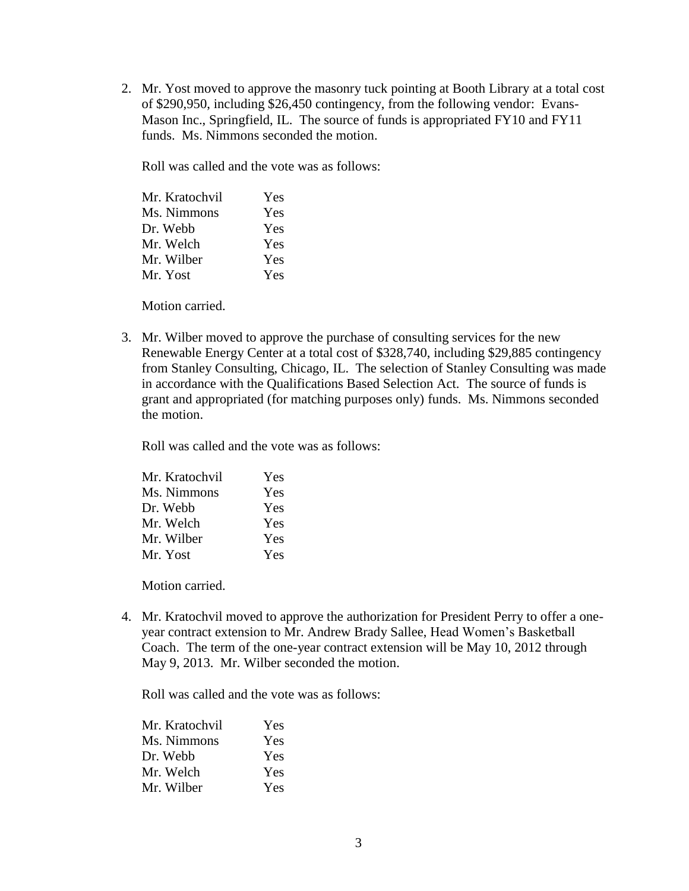2. Mr. Yost moved to approve the masonry tuck pointing at Booth Library at a total cost of \$290,950, including \$26,450 contingency, from the following vendor: Evans-Mason Inc., Springfield, IL. The source of funds is appropriated FY10 and FY11 funds. Ms. Nimmons seconded the motion.

Roll was called and the vote was as follows:

| Yes |
|-----|
| Yes |
| Yes |
| Yes |
| Yes |
| Yes |
|     |

Motion carried.

3. Mr. Wilber moved to approve the purchase of consulting services for the new Renewable Energy Center at a total cost of \$328,740, including \$29,885 contingency from Stanley Consulting, Chicago, IL. The selection of Stanley Consulting was made in accordance with the Qualifications Based Selection Act. The source of funds is grant and appropriated (for matching purposes only) funds. Ms. Nimmons seconded the motion.

Roll was called and the vote was as follows:

| Mr. Kratochvil | Yes |
|----------------|-----|
| Ms. Nimmons    | Yes |
| Dr. Webb       | Yes |
| Mr. Welch      | Yes |
| Mr. Wilber     | Yes |
| Mr. Yost       | Yes |

Motion carried.

4. Mr. Kratochvil moved to approve the authorization for President Perry to offer a oneyear contract extension to Mr. Andrew Brady Sallee, Head Women's Basketball Coach. The term of the one-year contract extension will be May 10, 2012 through May 9, 2013. Mr. Wilber seconded the motion.

Roll was called and the vote was as follows:

| Mr. Kratochvil | Yes |
|----------------|-----|
| Ms. Nimmons    | Yes |
| Dr. Webb       | Yes |
| Mr. Welch      | Yes |
| Mr. Wilber     | Yes |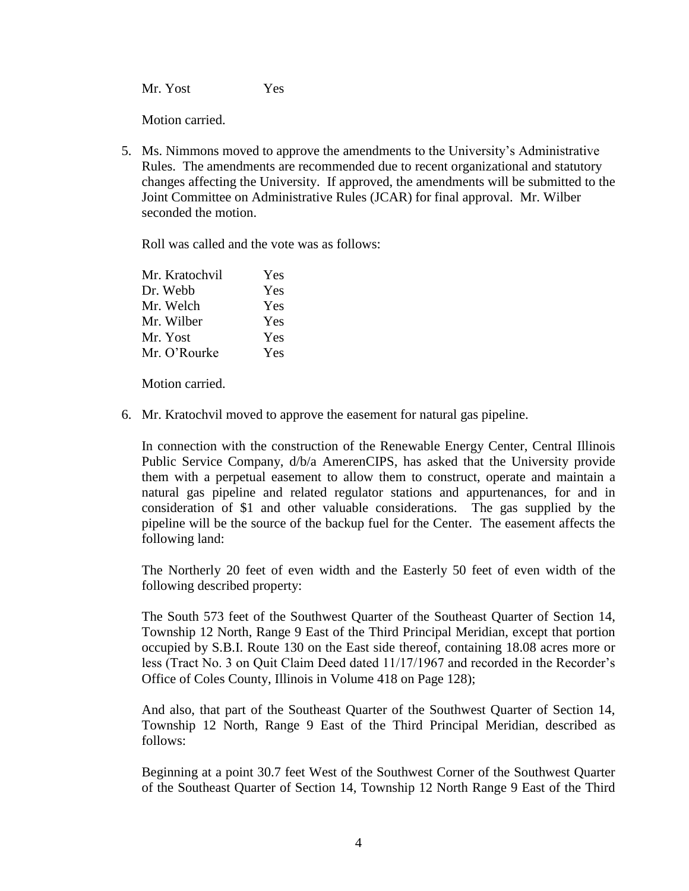Mr. Yost Yes

Motion carried.

5. Ms. Nimmons moved to approve the amendments to the University's Administrative Rules. The amendments are recommended due to recent organizational and statutory changes affecting the University. If approved, the amendments will be submitted to the Joint Committee on Administrative Rules (JCAR) for final approval. Mr. Wilber seconded the motion.

Roll was called and the vote was as follows:

| Mr. Kratochvil | Yes |
|----------------|-----|
| Dr. Webb       | Yes |
| Mr. Welch      | Yes |
| Mr. Wilber     | Yes |
| Mr. Yost       | Yes |
| Mr. O'Rourke   | Yes |

Motion carried.

6. Mr. Kratochvil moved to approve the easement for natural gas pipeline.

In connection with the construction of the Renewable Energy Center, Central Illinois Public Service Company, d/b/a AmerenCIPS, has asked that the University provide them with a perpetual easement to allow them to construct, operate and maintain a natural gas pipeline and related regulator stations and appurtenances, for and in consideration of \$1 and other valuable considerations. The gas supplied by the pipeline will be the source of the backup fuel for the Center. The easement affects the following land:

The Northerly 20 feet of even width and the Easterly 50 feet of even width of the following described property:

The South 573 feet of the Southwest Quarter of the Southeast Quarter of Section 14, Township 12 North, Range 9 East of the Third Principal Meridian, except that portion occupied by S.B.I. Route 130 on the East side thereof, containing 18.08 acres more or less (Tract No. 3 on Quit Claim Deed dated 11/17/1967 and recorded in the Recorder's Office of Coles County, Illinois in Volume 418 on Page 128);

And also, that part of the Southeast Quarter of the Southwest Quarter of Section 14, Township 12 North, Range 9 East of the Third Principal Meridian, described as follows:

Beginning at a point 30.7 feet West of the Southwest Corner of the Southwest Quarter of the Southeast Quarter of Section 14, Township 12 North Range 9 East of the Third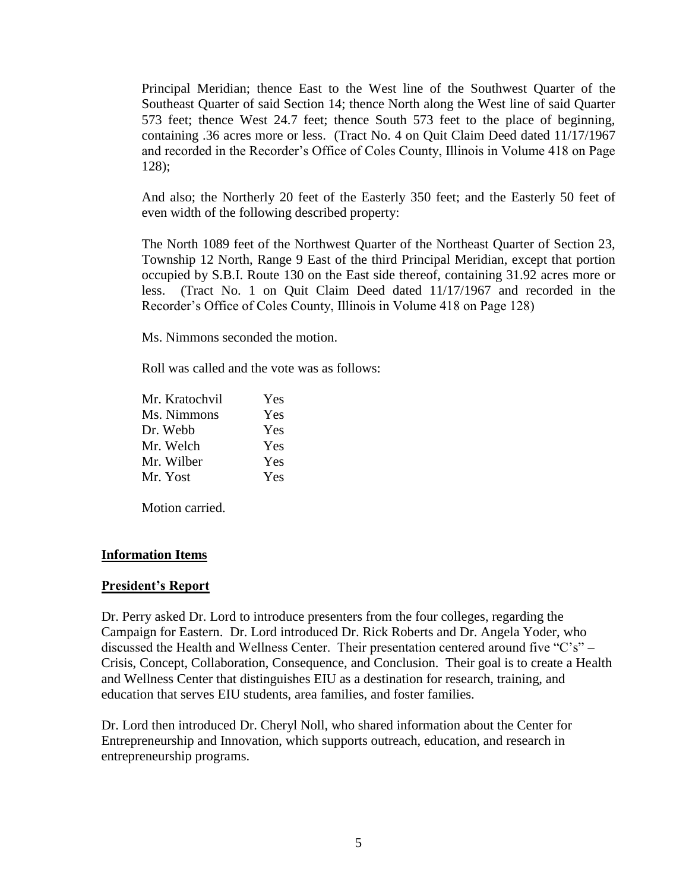Principal Meridian; thence East to the West line of the Southwest Quarter of the Southeast Quarter of said Section 14; thence North along the West line of said Quarter 573 feet; thence West 24.7 feet; thence South 573 feet to the place of beginning, containing .36 acres more or less. (Tract No. 4 on Quit Claim Deed dated 11/17/1967 and recorded in the Recorder's Office of Coles County, Illinois in Volume 418 on Page 128);

And also; the Northerly 20 feet of the Easterly 350 feet; and the Easterly 50 feet of even width of the following described property:

The North 1089 feet of the Northwest Quarter of the Northeast Quarter of Section 23, Township 12 North, Range 9 East of the third Principal Meridian, except that portion occupied by S.B.I. Route 130 on the East side thereof, containing 31.92 acres more or less. (Tract No. 1 on Quit Claim Deed dated 11/17/1967 and recorded in the Recorder's Office of Coles County, Illinois in Volume 418 on Page 128)

Ms. Nimmons seconded the motion.

Roll was called and the vote was as follows:

| Mr. Kratochvil | <b>Yes</b> |
|----------------|------------|
| Ms. Nimmons    | <b>Yes</b> |
| Dr. Webb       | <b>Yes</b> |
| Mr. Welch      | <b>Yes</b> |
| Mr. Wilber     | <b>Yes</b> |
| Mr. Yost       | <b>Yes</b> |

Motion carried.

#### **Information Items**

#### **President's Report**

Dr. Perry asked Dr. Lord to introduce presenters from the four colleges, regarding the Campaign for Eastern. Dr. Lord introduced Dr. Rick Roberts and Dr. Angela Yoder, who discussed the Health and Wellness Center. Their presentation centered around five "C's" – Crisis, Concept, Collaboration, Consequence, and Conclusion. Their goal is to create a Health and Wellness Center that distinguishes EIU as a destination for research, training, and education that serves EIU students, area families, and foster families.

Dr. Lord then introduced Dr. Cheryl Noll, who shared information about the Center for Entrepreneurship and Innovation, which supports outreach, education, and research in entrepreneurship programs.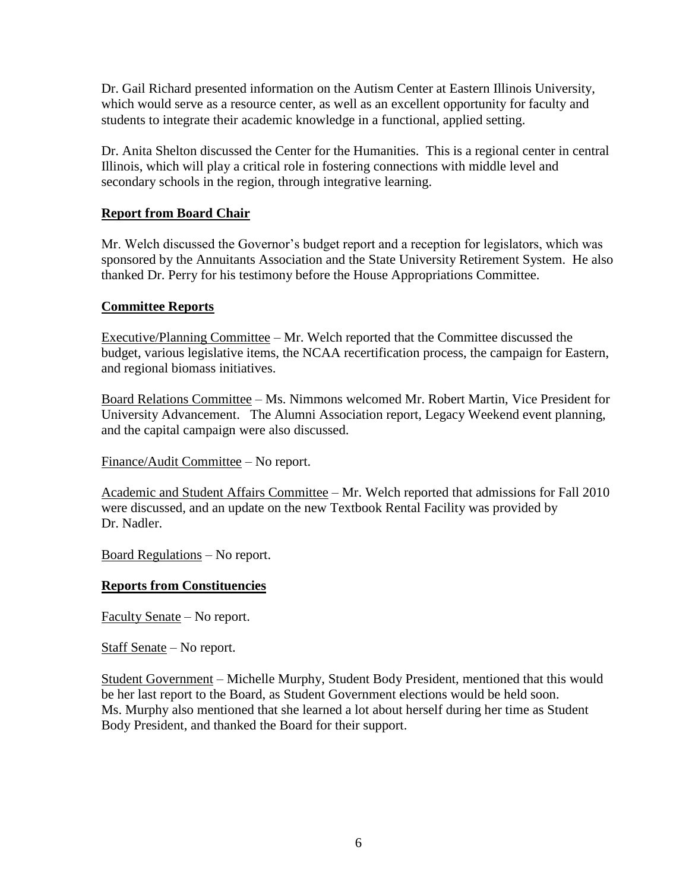Dr. Gail Richard presented information on the Autism Center at Eastern Illinois University, which would serve as a resource center, as well as an excellent opportunity for faculty and students to integrate their academic knowledge in a functional, applied setting.

Dr. Anita Shelton discussed the Center for the Humanities. This is a regional center in central Illinois, which will play a critical role in fostering connections with middle level and secondary schools in the region, through integrative learning.

# **Report from Board Chair**

Mr. Welch discussed the Governor's budget report and a reception for legislators, which was sponsored by the Annuitants Association and the State University Retirement System. He also thanked Dr. Perry for his testimony before the House Appropriations Committee.

# **Committee Reports**

Executive/Planning Committee – Mr. Welch reported that the Committee discussed the budget, various legislative items, the NCAA recertification process, the campaign for Eastern, and regional biomass initiatives.

Board Relations Committee – Ms. Nimmons welcomed Mr. Robert Martin, Vice President for University Advancement. The Alumni Association report, Legacy Weekend event planning, and the capital campaign were also discussed.

Finance/Audit Committee – No report.

Academic and Student Affairs Committee – Mr. Welch reported that admissions for Fall 2010 were discussed, and an update on the new Textbook Rental Facility was provided by Dr. Nadler.

Board Regulations – No report.

# **Reports from Constituencies**

Faculty Senate – No report.

Staff Senate – No report.

Student Government – Michelle Murphy, Student Body President, mentioned that this would be her last report to the Board, as Student Government elections would be held soon. Ms. Murphy also mentioned that she learned a lot about herself during her time as Student Body President, and thanked the Board for their support.